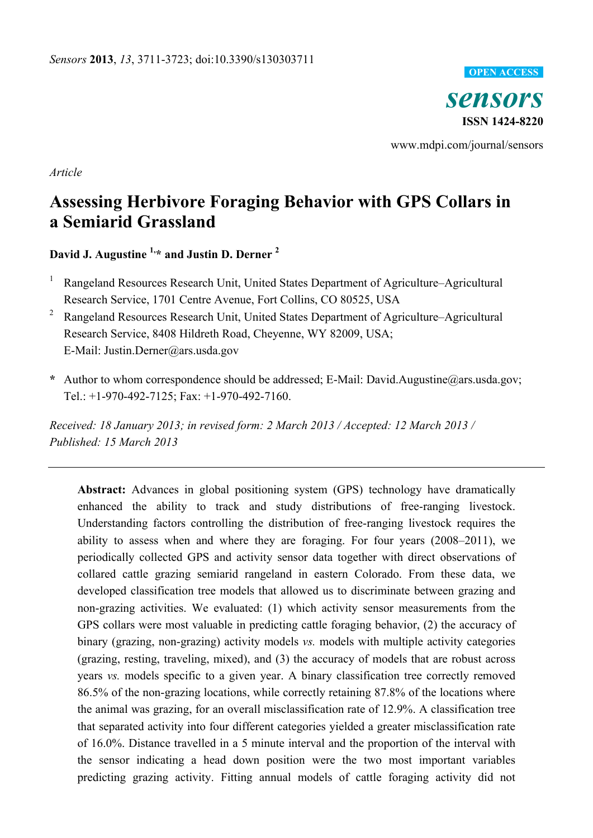

www.mdpi.com/journal/sensors

*Article* 

# **Assessing Herbivore Foraging Behavior with GPS Collars in a Semiarid Grassland**

**David J. Augustine 1,\* and Justin D. Derner 2**

- <sup>1</sup> Rangeland Resources Research Unit, United States Department of Agriculture–Agricultural Research Service, 1701 Centre Avenue, Fort Collins, CO 80525, USA
- <sup>2</sup> Rangeland Resources Research Unit, United States Department of Agriculture–Agricultural Research Service, 8408 Hildreth Road, Cheyenne, WY 82009, USA; E-Mail: Justin.Derner@ars.usda.gov
- **\*** Author to whom correspondence should be addressed; E-Mail: David.Augustine@ars.usda.gov; Tel.: +1-970-492-7125; Fax: +1-970-492-7160.

*Received: 18 January 2013; in revised form: 2 March 2013 / Accepted: 12 March 2013 / Published: 15 March 2013* 

**Abstract:** Advances in global positioning system (GPS) technology have dramatically enhanced the ability to track and study distributions of free-ranging livestock. Understanding factors controlling the distribution of free-ranging livestock requires the ability to assess when and where they are foraging. For four years (2008–2011), we periodically collected GPS and activity sensor data together with direct observations of collared cattle grazing semiarid rangeland in eastern Colorado. From these data, we developed classification tree models that allowed us to discriminate between grazing and non-grazing activities. We evaluated: (1) which activity sensor measurements from the GPS collars were most valuable in predicting cattle foraging behavior, (2) the accuracy of binary (grazing, non-grazing) activity models *vs.* models with multiple activity categories (grazing, resting, traveling, mixed), and (3) the accuracy of models that are robust across years *vs.* models specific to a given year. A binary classification tree correctly removed 86.5% of the non-grazing locations, while correctly retaining 87.8% of the locations where the animal was grazing, for an overall misclassification rate of 12.9%. A classification tree that separated activity into four different categories yielded a greater misclassification rate of 16.0%. Distance travelled in a 5 minute interval and the proportion of the interval with the sensor indicating a head down position were the two most important variables predicting grazing activity. Fitting annual models of cattle foraging activity did not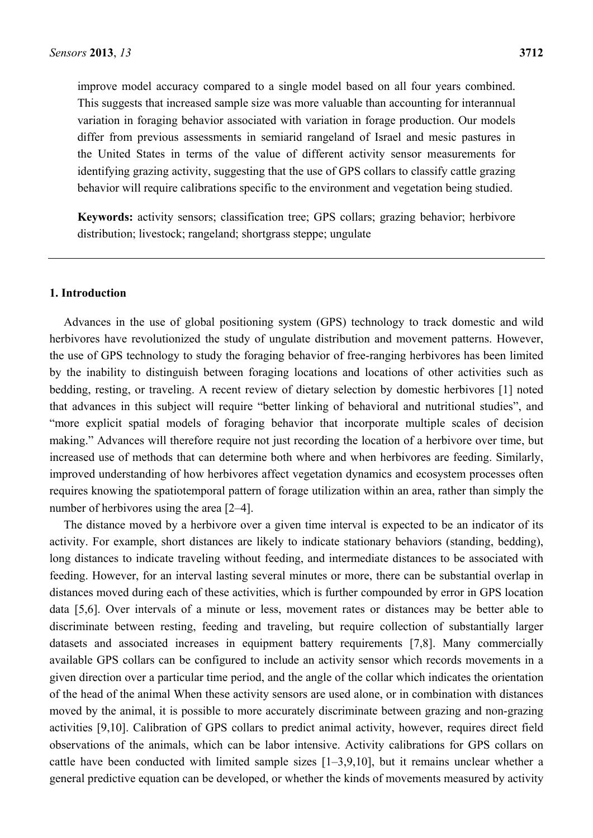improve model accuracy compared to a single model based on all four years combined. This suggests that increased sample size was more valuable than accounting for interannual variation in foraging behavior associated with variation in forage production. Our models differ from previous assessments in semiarid rangeland of Israel and mesic pastures in the United States in terms of the value of different activity sensor measurements for identifying grazing activity, suggesting that the use of GPS collars to classify cattle grazing behavior will require calibrations specific to the environment and vegetation being studied.

**Keywords:** activity sensors; classification tree; GPS collars; grazing behavior; herbivore distribution; livestock; rangeland; shortgrass steppe; ungulate

#### **1. Introduction**

Advances in the use of global positioning system (GPS) technology to track domestic and wild herbivores have revolutionized the study of ungulate distribution and movement patterns. However, the use of GPS technology to study the foraging behavior of free-ranging herbivores has been limited by the inability to distinguish between foraging locations and locations of other activities such as bedding, resting, or traveling. A recent review of dietary selection by domestic herbivores [1] noted that advances in this subject will require "better linking of behavioral and nutritional studies", and "more explicit spatial models of foraging behavior that incorporate multiple scales of decision making." Advances will therefore require not just recording the location of a herbivore over time, but increased use of methods that can determine both where and when herbivores are feeding. Similarly, improved understanding of how herbivores affect vegetation dynamics and ecosystem processes often requires knowing the spatiotemporal pattern of forage utilization within an area, rather than simply the number of herbivores using the area [2–4].

The distance moved by a herbivore over a given time interval is expected to be an indicator of its activity. For example, short distances are likely to indicate stationary behaviors (standing, bedding), long distances to indicate traveling without feeding, and intermediate distances to be associated with feeding. However, for an interval lasting several minutes or more, there can be substantial overlap in distances moved during each of these activities, which is further compounded by error in GPS location data [5,6]. Over intervals of a minute or less, movement rates or distances may be better able to discriminate between resting, feeding and traveling, but require collection of substantially larger datasets and associated increases in equipment battery requirements [7,8]. Many commercially available GPS collars can be configured to include an activity sensor which records movements in a given direction over a particular time period, and the angle of the collar which indicates the orientation of the head of the animal When these activity sensors are used alone, or in combination with distances moved by the animal, it is possible to more accurately discriminate between grazing and non-grazing activities [9,10]. Calibration of GPS collars to predict animal activity, however, requires direct field observations of the animals, which can be labor intensive. Activity calibrations for GPS collars on cattle have been conducted with limited sample sizes [1–3,9,10], but it remains unclear whether a general predictive equation can be developed, or whether the kinds of movements measured by activity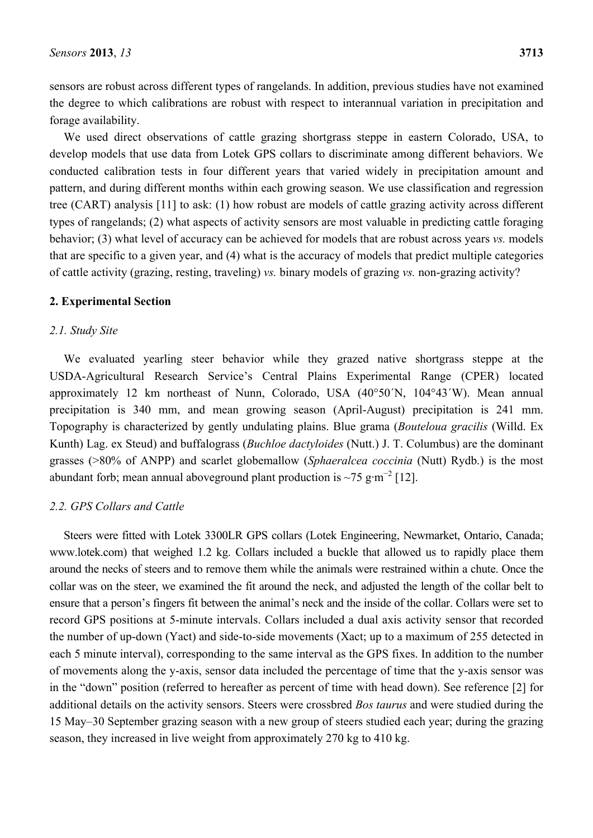sensors are robust across different types of rangelands. In addition, previous studies have not examined the degree to which calibrations are robust with respect to interannual variation in precipitation and forage availability.

We used direct observations of cattle grazing shortgrass steppe in eastern Colorado, USA, to develop models that use data from Lotek GPS collars to discriminate among different behaviors. We conducted calibration tests in four different years that varied widely in precipitation amount and pattern, and during different months within each growing season. We use classification and regression tree (CART) analysis [11] to ask: (1) how robust are models of cattle grazing activity across different types of rangelands; (2) what aspects of activity sensors are most valuable in predicting cattle foraging behavior; (3) what level of accuracy can be achieved for models that are robust across years *vs.* models that are specific to a given year, and (4) what is the accuracy of models that predict multiple categories of cattle activity (grazing, resting, traveling) *vs.* binary models of grazing *vs.* non-grazing activity?

### **2. Experimental Section**

## *2.1. Study Site*

We evaluated yearling steer behavior while they grazed native shortgrass steppe at the USDA-Agricultural Research Service's Central Plains Experimental Range (CPER) located approximately 12 km northeast of Nunn, Colorado, USA (40°50´N, 104°43´W). Mean annual precipitation is 340 mm, and mean growing season (April-August) precipitation is 241 mm. Topography is characterized by gently undulating plains. Blue grama (*Bouteloua gracilis* (Willd. Ex Kunth) Lag. ex Steud) and buffalograss (*Buchloe dactyloides* (Nutt.) J. T. Columbus) are the dominant grasses (>80% of ANPP) and scarlet globemallow (*Sphaeralcea coccinia* (Nutt) Rydb.) is the most abundant forb; mean annual aboveground plant production is ~75 g·m<sup>-2</sup> [12].

# *2.2. GPS Collars and Cattle*

Steers were fitted with Lotek 3300LR GPS collars (Lotek Engineering, Newmarket, Ontario, Canada; www.lotek.com) that weighed 1.2 kg. Collars included a buckle that allowed us to rapidly place them around the necks of steers and to remove them while the animals were restrained within a chute. Once the collar was on the steer, we examined the fit around the neck, and adjusted the length of the collar belt to ensure that a person's fingers fit between the animal's neck and the inside of the collar. Collars were set to record GPS positions at 5-minute intervals. Collars included a dual axis activity sensor that recorded the number of up-down (Yact) and side-to-side movements (Xact; up to a maximum of 255 detected in each 5 minute interval), corresponding to the same interval as the GPS fixes. In addition to the number of movements along the y-axis, sensor data included the percentage of time that the y-axis sensor was in the "down" position (referred to hereafter as percent of time with head down). See reference [2] for additional details on the activity sensors. Steers were crossbred *Bos taurus* and were studied during the 15 May–30 September grazing season with a new group of steers studied each year; during the grazing season, they increased in live weight from approximately 270 kg to 410 kg.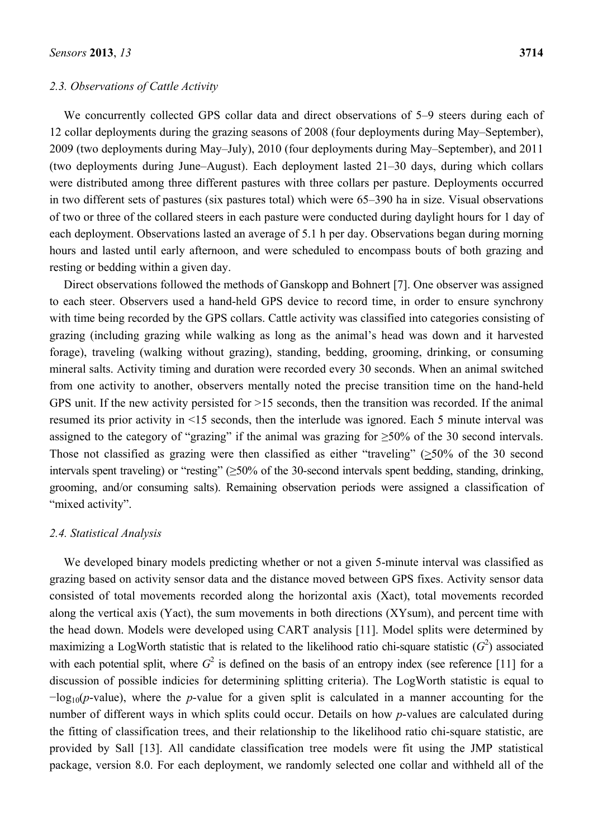#### *2.3. Observations of Cattle Activity*

We concurrently collected GPS collar data and direct observations of 5–9 steers during each of 12 collar deployments during the grazing seasons of 2008 (four deployments during May–September), 2009 (two deployments during May–July), 2010 (four deployments during May–September), and 2011 (two deployments during June–August). Each deployment lasted 21–30 days, during which collars were distributed among three different pastures with three collars per pasture. Deployments occurred in two different sets of pastures (six pastures total) which were 65–390 ha in size. Visual observations of two or three of the collared steers in each pasture were conducted during daylight hours for 1 day of each deployment. Observations lasted an average of 5.1 h per day. Observations began during morning hours and lasted until early afternoon, and were scheduled to encompass bouts of both grazing and resting or bedding within a given day.

Direct observations followed the methods of Ganskopp and Bohnert [7]. One observer was assigned to each steer. Observers used a hand-held GPS device to record time, in order to ensure synchrony with time being recorded by the GPS collars. Cattle activity was classified into categories consisting of grazing (including grazing while walking as long as the animal's head was down and it harvested forage), traveling (walking without grazing), standing, bedding, grooming, drinking, or consuming mineral salts. Activity timing and duration were recorded every 30 seconds. When an animal switched from one activity to another, observers mentally noted the precise transition time on the hand-held GPS unit. If the new activity persisted for >15 seconds, then the transition was recorded. If the animal resumed its prior activity in <15 seconds, then the interlude was ignored. Each 5 minute interval was assigned to the category of "grazing" if the animal was grazing for ≥50% of the 30 second intervals. Those not classified as grazing were then classified as either "traveling" (>50% of the 30 second intervals spent traveling) or "resting" (≥50% of the 30-second intervals spent bedding, standing, drinking, grooming, and/or consuming salts). Remaining observation periods were assigned a classification of "mixed activity".

#### *2.4. Statistical Analysis*

We developed binary models predicting whether or not a given 5-minute interval was classified as grazing based on activity sensor data and the distance moved between GPS fixes. Activity sensor data consisted of total movements recorded along the horizontal axis (Xact), total movements recorded along the vertical axis (Yact), the sum movements in both directions (XYsum), and percent time with the head down. Models were developed using CART analysis [11]. Model splits were determined by maximizing a LogWorth statistic that is related to the likelihood ratio chi-square statistic  $(G^2)$  associated with each potential split, where  $G^2$  is defined on the basis of an entropy index (see reference [11] for a discussion of possible indicies for determining splitting criteria). The LogWorth statistic is equal to  $-\log_{10}(p\text{-value})$ , where the *p*-value for a given split is calculated in a manner accounting for the number of different ways in which splits could occur. Details on how *p*-values are calculated during the fitting of classification trees, and their relationship to the likelihood ratio chi-square statistic, are provided by Sall [13]. All candidate classification tree models were fit using the JMP statistical package, version 8.0. For each deployment, we randomly selected one collar and withheld all of the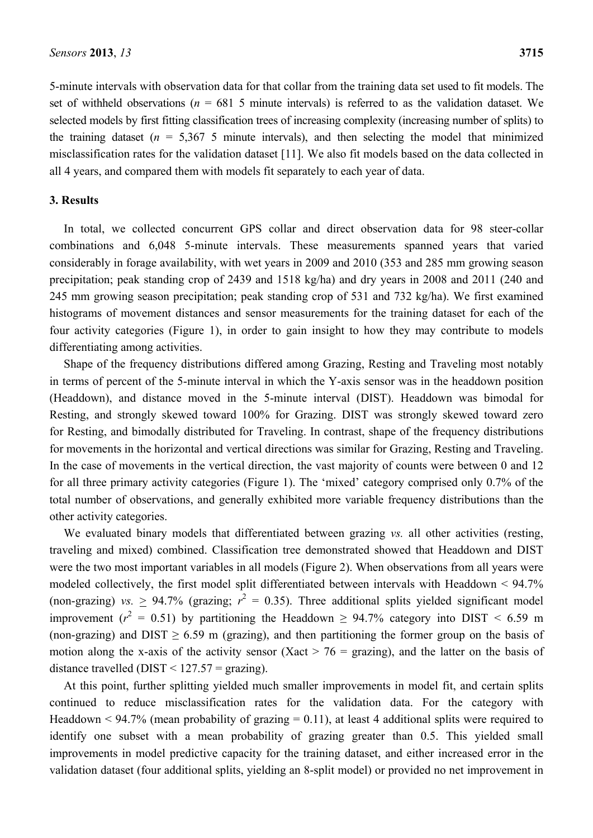5-minute intervals with observation data for that collar from the training data set used to fit models. The set of withheld observations ( $n = 681$  5 minute intervals) is referred to as the validation dataset. We selected models by first fitting classification trees of increasing complexity (increasing number of splits) to the training dataset  $(n = 5.367.5)$  minute intervals), and then selecting the model that minimized misclassification rates for the validation dataset [11]. We also fit models based on the data collected in all 4 years, and compared them with models fit separately to each year of data.

#### **3. Results**

In total, we collected concurrent GPS collar and direct observation data for 98 steer-collar combinations and 6,048 5-minute intervals. These measurements spanned years that varied considerably in forage availability, with wet years in 2009 and 2010 (353 and 285 mm growing season precipitation; peak standing crop of 2439 and 1518 kg/ha) and dry years in 2008 and 2011 (240 and 245 mm growing season precipitation; peak standing crop of 531 and 732 kg/ha). We first examined histograms of movement distances and sensor measurements for the training dataset for each of the four activity categories (Figure 1), in order to gain insight to how they may contribute to models differentiating among activities.

Shape of the frequency distributions differed among Grazing, Resting and Traveling most notably in terms of percent of the 5-minute interval in which the Y-axis sensor was in the headdown position (Headdown), and distance moved in the 5-minute interval (DIST). Headdown was bimodal for Resting, and strongly skewed toward 100% for Grazing. DIST was strongly skewed toward zero for Resting, and bimodally distributed for Traveling. In contrast, shape of the frequency distributions for movements in the horizontal and vertical directions was similar for Grazing, Resting and Traveling. In the case of movements in the vertical direction, the vast majority of counts were between 0 and 12 for all three primary activity categories (Figure 1). The 'mixed' category comprised only 0.7% of the total number of observations, and generally exhibited more variable frequency distributions than the other activity categories.

We evaluated binary models that differentiated between grazing *vs.* all other activities (resting, traveling and mixed) combined. Classification tree demonstrated showed that Headdown and DIST were the two most important variables in all models (Figure 2). When observations from all years were modeled collectively, the first model split differentiated between intervals with Headdown  $\leq 94.7\%$ (non-grazing) *vs.*  $\geq$  94.7% (grazing;  $r^2 = 0.35$ ). Three additional splits yielded significant model improvement ( $r^2 = 0.51$ ) by partitioning the Headdown  $\geq 94.7\%$  category into DIST < 6.59 m (non-grazing) and DIST  $\geq$  6.59 m (grazing), and then partitioning the former group on the basis of motion along the x-axis of the activity sensor (Xact  $> 76$  = grazing), and the latter on the basis of distance travelled ( $DIST < 127.57 = \text{grazing}$ ).

At this point, further splitting yielded much smaller improvements in model fit, and certain splits continued to reduce misclassification rates for the validation data. For the category with Headdown  $\leq$  94.7% (mean probability of grazing = 0.11), at least 4 additional splits were required to identify one subset with a mean probability of grazing greater than 0.5. This yielded small improvements in model predictive capacity for the training dataset, and either increased error in the validation dataset (four additional splits, yielding an 8-split model) or provided no net improvement in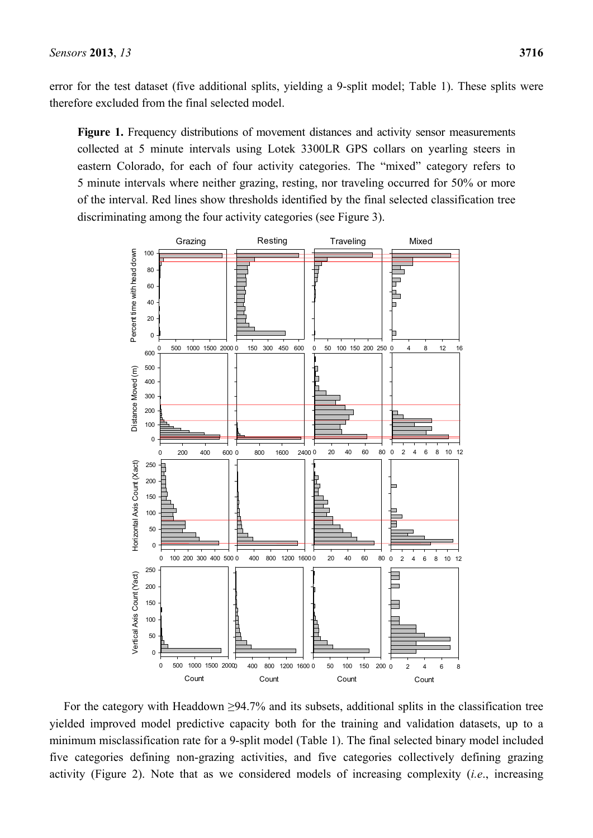error for the test dataset (five additional splits, yielding a 9-split model; Table 1). These splits were therefore excluded from the final selected model.

Figure 1. Frequency distributions of movement distances and activity sensor measurements collected at 5 minute intervals using Lotek 3300LR GPS collars on yearling steers in eastern Colorado, for each of four activity categories. The "mixed" category refers to 5 minute intervals where neither grazing, resting, nor traveling occurred for 50% or more of the interval. Red lines show thresholds identified by the final selected classification tree discriminating among the four activity categories (see Figure 3).



For the category with Headdown  $\geq$ 94.7% and its subsets, additional splits in the classification tree yielded improved model predictive capacity both for the training and validation datasets, up to a minimum misclassification rate for a 9-split model (Table 1). The final selected binary model included five categories defining non-grazing activities, and five categories collectively defining grazing activity (Figure 2). Note that as we considered models of increasing complexity (*i.e*., increasing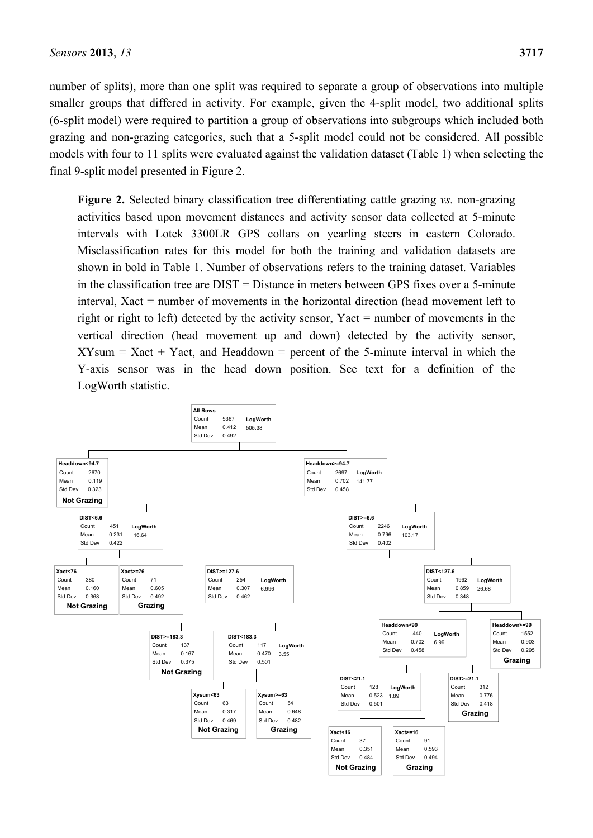number of splits), more than one split was required to separate a group of observations into multiple smaller groups that differed in activity. For example, given the 4-split model, two additional splits (6-split model) were required to partition a group of observations into subgroups which included both grazing and non-grazing categories, such that a 5-split model could not be considered. All possible models with four to 11 splits were evaluated against the validation dataset (Table 1) when selecting the final 9-split model presented in Figure 2.

**Figure 2.** Selected binary classification tree differentiating cattle grazing *vs.* non-grazing activities based upon movement distances and activity sensor data collected at 5-minute intervals with Lotek 3300LR GPS collars on yearling steers in eastern Colorado. Misclassification rates for this model for both the training and validation datasets are shown in bold in Table 1. Number of observations refers to the training dataset. Variables in the classification tree are DIST = Distance in meters between GPS fixes over a 5-minute interval, Xact = number of movements in the horizontal direction (head movement left to right or right to left) detected by the activity sensor, Yact = number of movements in the vertical direction (head movement up and down) detected by the activity sensor,  $XYsum = Xact + Yact$ , and Headdown = percent of the 5-minute interval in which the Y-axis sensor was in the head down position. See text for a definition of the LogWorth statistic.

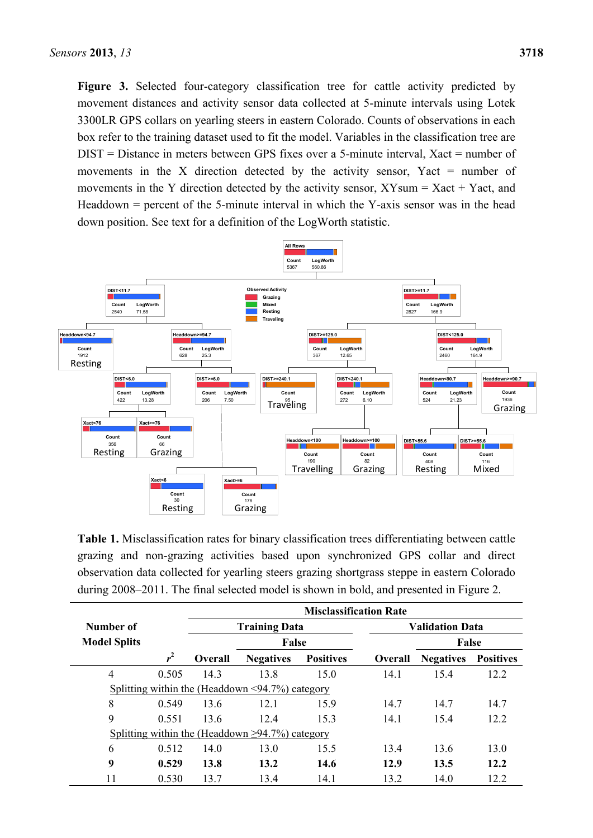Figure 3. Selected four-category classification tree for cattle activity predicted by movement distances and activity sensor data collected at 5-minute intervals using Lotek 3300LR GPS collars on yearling steers in eastern Colorado. Counts of observations in each box refer to the training dataset used to fit the model. Variables in the classification tree are  $DIST = Distance$  in meters between GPS fixes over a 5-minute interval, Xact = number of movements in the X direction detected by the activity sensor, Yact  $=$  number of movements in the Y direction detected by the activity sensor,  $XYsum = Xact + Yact$ , and Headdown  $=$  percent of the 5-minute interval in which the Y-axis sensor was in the head down position. See text for a definition of the LogWorth statistic.



**Table 1.** Misclassification rates for binary classification trees differentiating between cattle grazing and non-grazing activities based upon synchronized GPS collar and direct observation data collected for yearling steers grazing shortgrass steppe in eastern Colorado during 2008–2011. The final selected model is shown in bold, and presented in Figure 2.

|                                                         |       | <b>Misclassification Rate</b> |                  |                        |                |                  |                  |  |
|---------------------------------------------------------|-------|-------------------------------|------------------|------------------------|----------------|------------------|------------------|--|
| Number of                                               |       | <b>Training Data</b>          |                  | <b>Validation Data</b> |                |                  |                  |  |
| <b>Model Splits</b>                                     |       |                               | False            |                        |                | False            |                  |  |
|                                                         | $r^2$ | <b>Overall</b>                | <b>Negatives</b> | <b>Positives</b>       | <b>Overall</b> | <b>Negatives</b> | <b>Positives</b> |  |
| $\overline{4}$                                          | 0.505 | 14.3                          | 13.8             | 15.0                   | 14.1           | 15.4             | 12.2             |  |
| Splitting within the (Headdown $\leq 94.7\%$ ) category |       |                               |                  |                        |                |                  |                  |  |
| 8                                                       | 0.549 | 13.6                          | 12.1             | 15.9                   | 14.7           | 14.7             | 14.7             |  |
| 9                                                       | 0.551 | 13.6                          | 12.4             | 15.3                   | 14.1           | 15.4             | 12.2             |  |
| Splitting within the (Headdown $\geq 94.7\%$ ) category |       |                               |                  |                        |                |                  |                  |  |
| 6                                                       | 0.512 | 14.0                          | 13.0             | 15.5                   | 13.4           | 13.6             | 13.0             |  |
| 9                                                       | 0.529 | 13.8                          | 13.2             | 14.6                   | 12.9           | 13.5             | 12.2             |  |
| 11                                                      | 0.530 | 13.7                          | 13.4             | 14.1                   | 13.2           | 14.0             | 12.2             |  |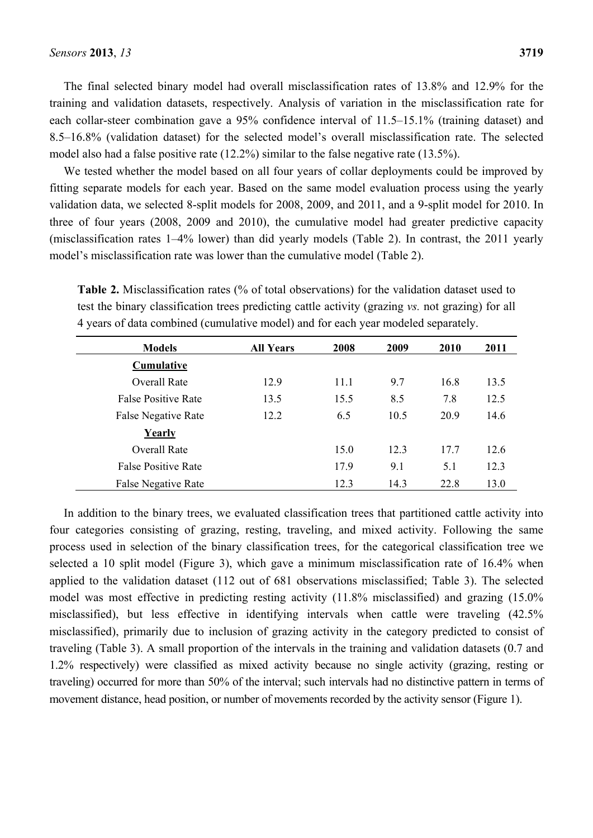The final selected binary model had overall misclassification rates of 13.8% and 12.9% for the training and validation datasets, respectively. Analysis of variation in the misclassification rate for each collar-steer combination gave a 95% confidence interval of 11.5–15.1% (training dataset) and 8.5–16.8% (validation dataset) for the selected model's overall misclassification rate. The selected model also had a false positive rate (12.2%) similar to the false negative rate (13.5%).

We tested whether the model based on all four years of collar deployments could be improved by fitting separate models for each year. Based on the same model evaluation process using the yearly validation data, we selected 8-split models for 2008, 2009, and 2011, and a 9-split model for 2010. In three of four years (2008, 2009 and 2010), the cumulative model had greater predictive capacity (misclassification rates 1–4% lower) than did yearly models (Table 2). In contrast, the 2011 yearly model's misclassification rate was lower than the cumulative model (Table 2).

| <b>Models</b>              | <b>All Years</b> | 2008 | 2009 | <b>2010</b> | 2011 |
|----------------------------|------------------|------|------|-------------|------|
| Cumulative                 |                  |      |      |             |      |
| Overall Rate               | 12.9             | 11.1 | 9.7  | 16.8        | 13.5 |
| <b>False Positive Rate</b> | 13.5             | 15.5 | 8.5  | 7.8         | 12.5 |
| <b>False Negative Rate</b> | 12.2             | 6.5  | 10.5 | 20.9        | 14.6 |
| <b>Yearly</b>              |                  |      |      |             |      |
| Overall Rate               |                  | 15.0 | 12.3 | 177         | 12.6 |
| <b>False Positive Rate</b> |                  | 17.9 | 9.1  | 5.1         | 12.3 |
| <b>False Negative Rate</b> |                  | 12.3 | 14.3 | 22.8        | 13.0 |

**Table 2.** Misclassification rates (% of total observations) for the validation dataset used to test the binary classification trees predicting cattle activity (grazing *vs.* not grazing) for all 4 years of data combined (cumulative model) and for each year modeled separately.

In addition to the binary trees, we evaluated classification trees that partitioned cattle activity into four categories consisting of grazing, resting, traveling, and mixed activity. Following the same process used in selection of the binary classification trees, for the categorical classification tree we selected a 10 split model (Figure 3), which gave a minimum misclassification rate of 16.4% when applied to the validation dataset (112 out of 681 observations misclassified; Table 3). The selected model was most effective in predicting resting activity (11.8% misclassified) and grazing (15.0% misclassified), but less effective in identifying intervals when cattle were traveling (42.5% misclassified), primarily due to inclusion of grazing activity in the category predicted to consist of traveling (Table 3). A small proportion of the intervals in the training and validation datasets (0.7 and 1.2% respectively) were classified as mixed activity because no single activity (grazing, resting or traveling) occurred for more than 50% of the interval; such intervals had no distinctive pattern in terms of movement distance, head position, or number of movements recorded by the activity sensor (Figure 1).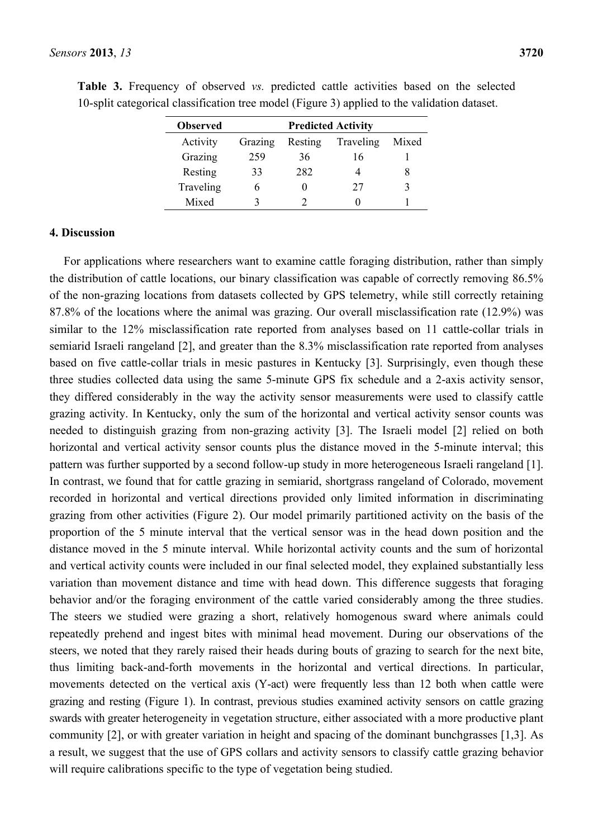| <b>Observed</b> |         | <b>Predicted Activity</b> |           |       |
|-----------------|---------|---------------------------|-----------|-------|
| Activity        | Grazing | Resting                   | Traveling | Mixed |
| Grazing         | 259     | 36                        | 16        |       |
| Resting         | 33      | 282                       |           |       |
| Traveling       |         |                           | 27        |       |
| Mixed           |         |                           |           |       |

**Table 3.** Frequency of observed *vs.* predicted cattle activities based on the selected 10-split categorical classification tree model (Figure 3) applied to the validation dataset.

### **4. Discussion**

For applications where researchers want to examine cattle foraging distribution, rather than simply the distribution of cattle locations, our binary classification was capable of correctly removing 86.5% of the non-grazing locations from datasets collected by GPS telemetry, while still correctly retaining 87.8% of the locations where the animal was grazing. Our overall misclassification rate (12.9%) was similar to the 12% misclassification rate reported from analyses based on 11 cattle-collar trials in semiarid Israeli rangeland [2], and greater than the 8.3% misclassification rate reported from analyses based on five cattle-collar trials in mesic pastures in Kentucky [3]. Surprisingly, even though these three studies collected data using the same 5-minute GPS fix schedule and a 2-axis activity sensor, they differed considerably in the way the activity sensor measurements were used to classify cattle grazing activity. In Kentucky, only the sum of the horizontal and vertical activity sensor counts was needed to distinguish grazing from non-grazing activity [3]. The Israeli model [2] relied on both horizontal and vertical activity sensor counts plus the distance moved in the 5-minute interval; this pattern was further supported by a second follow-up study in more heterogeneous Israeli rangeland [1]. In contrast, we found that for cattle grazing in semiarid, shortgrass rangeland of Colorado, movement recorded in horizontal and vertical directions provided only limited information in discriminating grazing from other activities (Figure 2). Our model primarily partitioned activity on the basis of the proportion of the 5 minute interval that the vertical sensor was in the head down position and the distance moved in the 5 minute interval. While horizontal activity counts and the sum of horizontal and vertical activity counts were included in our final selected model, they explained substantially less variation than movement distance and time with head down. This difference suggests that foraging behavior and/or the foraging environment of the cattle varied considerably among the three studies. The steers we studied were grazing a short, relatively homogenous sward where animals could repeatedly prehend and ingest bites with minimal head movement. During our observations of the steers, we noted that they rarely raised their heads during bouts of grazing to search for the next bite, thus limiting back-and-forth movements in the horizontal and vertical directions. In particular, movements detected on the vertical axis (Y-act) were frequently less than 12 both when cattle were grazing and resting (Figure 1). In contrast, previous studies examined activity sensors on cattle grazing swards with greater heterogeneity in vegetation structure, either associated with a more productive plant community [2], or with greater variation in height and spacing of the dominant bunchgrasses [1,3]. As a result, we suggest that the use of GPS collars and activity sensors to classify cattle grazing behavior will require calibrations specific to the type of vegetation being studied.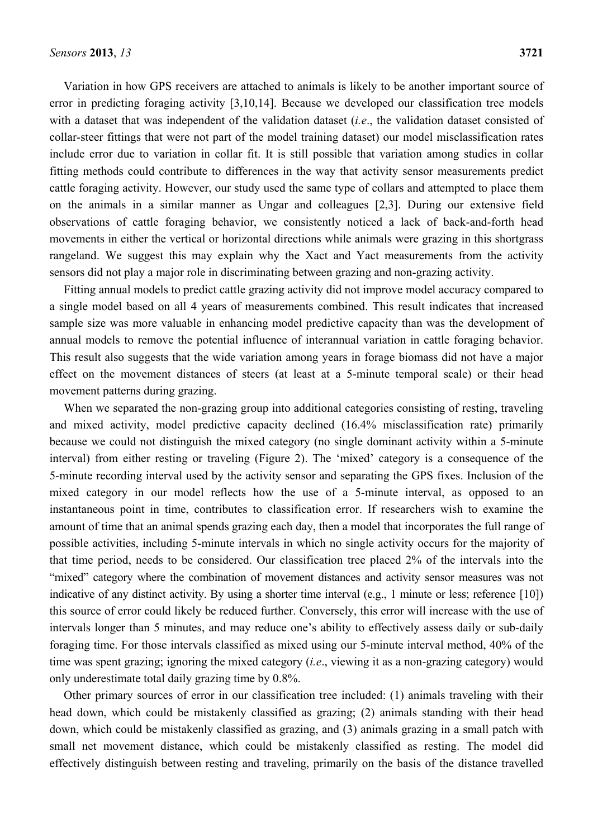Variation in how GPS receivers are attached to animals is likely to be another important source of error in predicting foraging activity [3,10,14]. Because we developed our classification tree models with a dataset that was independent of the validation dataset (*i.e*., the validation dataset consisted of collar-steer fittings that were not part of the model training dataset) our model misclassification rates include error due to variation in collar fit. It is still possible that variation among studies in collar fitting methods could contribute to differences in the way that activity sensor measurements predict cattle foraging activity. However, our study used the same type of collars and attempted to place them on the animals in a similar manner as Ungar and colleagues [2,3]. During our extensive field observations of cattle foraging behavior, we consistently noticed a lack of back-and-forth head movements in either the vertical or horizontal directions while animals were grazing in this shortgrass rangeland. We suggest this may explain why the Xact and Yact measurements from the activity sensors did not play a major role in discriminating between grazing and non-grazing activity.

Fitting annual models to predict cattle grazing activity did not improve model accuracy compared to a single model based on all 4 years of measurements combined. This result indicates that increased sample size was more valuable in enhancing model predictive capacity than was the development of annual models to remove the potential influence of interannual variation in cattle foraging behavior. This result also suggests that the wide variation among years in forage biomass did not have a major effect on the movement distances of steers (at least at a 5-minute temporal scale) or their head movement patterns during grazing.

When we separated the non-grazing group into additional categories consisting of resting, traveling and mixed activity, model predictive capacity declined (16.4% misclassification rate) primarily because we could not distinguish the mixed category (no single dominant activity within a 5-minute interval) from either resting or traveling (Figure 2). The 'mixed' category is a consequence of the 5-minute recording interval used by the activity sensor and separating the GPS fixes. Inclusion of the mixed category in our model reflects how the use of a 5-minute interval, as opposed to an instantaneous point in time, contributes to classification error. If researchers wish to examine the amount of time that an animal spends grazing each day, then a model that incorporates the full range of possible activities, including 5-minute intervals in which no single activity occurs for the majority of that time period, needs to be considered. Our classification tree placed 2% of the intervals into the "mixed" category where the combination of movement distances and activity sensor measures was not indicative of any distinct activity. By using a shorter time interval (e.g., 1 minute or less; reference [10]) this source of error could likely be reduced further. Conversely, this error will increase with the use of intervals longer than 5 minutes, and may reduce one's ability to effectively assess daily or sub-daily foraging time. For those intervals classified as mixed using our 5-minute interval method, 40% of the time was spent grazing; ignoring the mixed category (*i.e*., viewing it as a non-grazing category) would only underestimate total daily grazing time by 0.8%.

Other primary sources of error in our classification tree included: (1) animals traveling with their head down, which could be mistakenly classified as grazing; (2) animals standing with their head down, which could be mistakenly classified as grazing, and (3) animals grazing in a small patch with small net movement distance, which could be mistakenly classified as resting. The model did effectively distinguish between resting and traveling, primarily on the basis of the distance travelled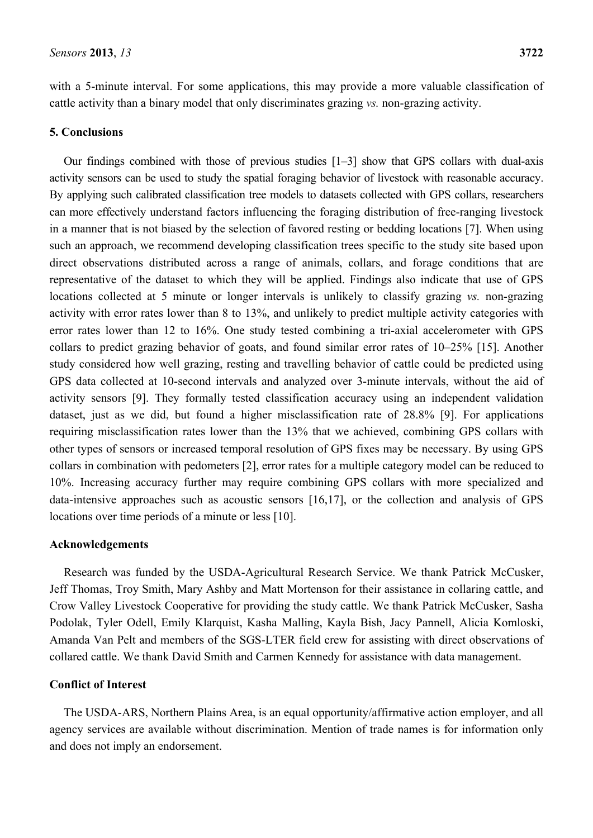with a 5-minute interval. For some applications, this may provide a more valuable classification of cattle activity than a binary model that only discriminates grazing *vs.* non-grazing activity.

## **5. Conclusions**

Our findings combined with those of previous studies [1–3] show that GPS collars with dual-axis activity sensors can be used to study the spatial foraging behavior of livestock with reasonable accuracy. By applying such calibrated classification tree models to datasets collected with GPS collars, researchers can more effectively understand factors influencing the foraging distribution of free-ranging livestock in a manner that is not biased by the selection of favored resting or bedding locations [7]. When using such an approach, we recommend developing classification trees specific to the study site based upon direct observations distributed across a range of animals, collars, and forage conditions that are representative of the dataset to which they will be applied. Findings also indicate that use of GPS locations collected at 5 minute or longer intervals is unlikely to classify grazing *vs.* non-grazing activity with error rates lower than 8 to 13%, and unlikely to predict multiple activity categories with error rates lower than 12 to 16%. One study tested combining a tri-axial accelerometer with GPS collars to predict grazing behavior of goats, and found similar error rates of 10–25% [15]. Another study considered how well grazing, resting and travelling behavior of cattle could be predicted using GPS data collected at 10-second intervals and analyzed over 3-minute intervals, without the aid of activity sensors [9]. They formally tested classification accuracy using an independent validation dataset, just as we did, but found a higher misclassification rate of 28.8% [9]. For applications requiring misclassification rates lower than the 13% that we achieved, combining GPS collars with other types of sensors or increased temporal resolution of GPS fixes may be necessary. By using GPS collars in combination with pedometers [2], error rates for a multiple category model can be reduced to 10%. Increasing accuracy further may require combining GPS collars with more specialized and data-intensive approaches such as acoustic sensors [16,17], or the collection and analysis of GPS locations over time periods of a minute or less [10].

# **Acknowledgements**

Research was funded by the USDA-Agricultural Research Service. We thank Patrick McCusker, Jeff Thomas, Troy Smith, Mary Ashby and Matt Mortenson for their assistance in collaring cattle, and Crow Valley Livestock Cooperative for providing the study cattle. We thank Patrick McCusker, Sasha Podolak, Tyler Odell, Emily Klarquist, Kasha Malling, Kayla Bish, Jacy Pannell, Alicia Komloski, Amanda Van Pelt and members of the SGS-LTER field crew for assisting with direct observations of collared cattle. We thank David Smith and Carmen Kennedy for assistance with data management.

# **Conflict of Interest**

The USDA-ARS, Northern Plains Area, is an equal opportunity/affirmative action employer, and all agency services are available without discrimination. Mention of trade names is for information only and does not imply an endorsement.